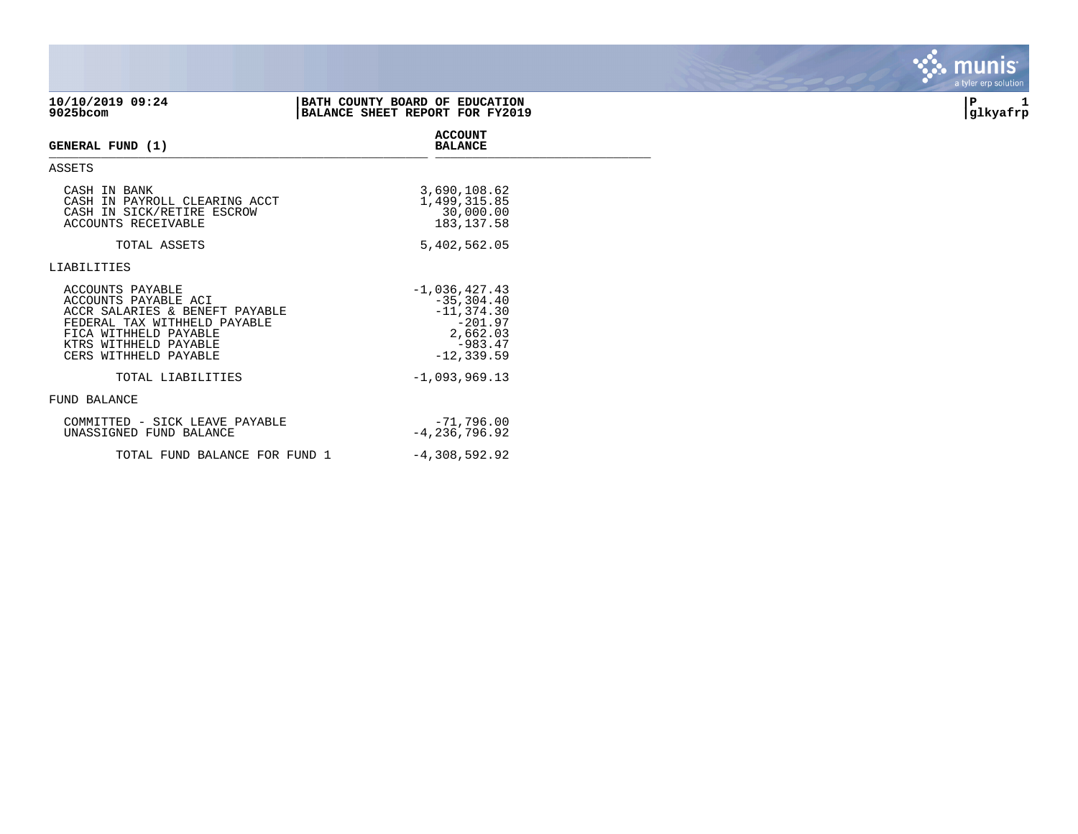| 10/10/2019 09:24<br>9025bcom                                                                                                                                                          | BATH COUNTY BOARD OF EDUCATION<br>BALANCE SHEET REPORT FOR FY2019                                        | IΡ<br>1<br>glkyafrp |
|---------------------------------------------------------------------------------------------------------------------------------------------------------------------------------------|----------------------------------------------------------------------------------------------------------|---------------------|
| GENERAL FUND (1)                                                                                                                                                                      | <b>ACCOUNT</b><br><b>BALANCE</b>                                                                         |                     |
| ASSETS                                                                                                                                                                                |                                                                                                          |                     |
| CASH IN BANK<br>CASH IN PAYROLL CLEARING ACCT<br>CASH IN SICK/RETIRE ESCROW<br>ACCOUNTS RECEIVABLE                                                                                    | 3,690,108.62<br>1,499,315.85<br>30,000.00<br>183, 137.58                                                 |                     |
| TOTAL ASSETS                                                                                                                                                                          | 5,402,562.05                                                                                             |                     |
| LIABILITIES                                                                                                                                                                           |                                                                                                          |                     |
| ACCOUNTS PAYABLE<br>ACCOUNTS PAYABLE ACI<br>ACCR SALARIES & BENEFT PAYABLE<br>FEDERAL TAX WITHHELD PAYABLE<br>FICA WITHHELD PAYABLE<br>KTRS WITHHELD PAYABLE<br>CERS WITHHELD PAYABLE | $-1,036,427.43$<br>$-35, 304.40$<br>$-11, 374.30$<br>$-201.97$<br>2,662.03<br>$-983.47$<br>$-12, 339.59$ |                     |
| TOTAL LIABILITIES                                                                                                                                                                     | $-1,093,969.13$                                                                                          |                     |
| <b>FUND BALANCE</b>                                                                                                                                                                   |                                                                                                          |                     |
| COMMITTED - SICK LEAVE PAYABLE<br>UNASSIGNED FUND BALANCE                                                                                                                             | $-71,796.00$<br>$-4, 236, 796.92$                                                                        |                     |
| TOTAL FUND BALANCE FOR FUND 1                                                                                                                                                         | $-4,308,592.92$                                                                                          |                     |

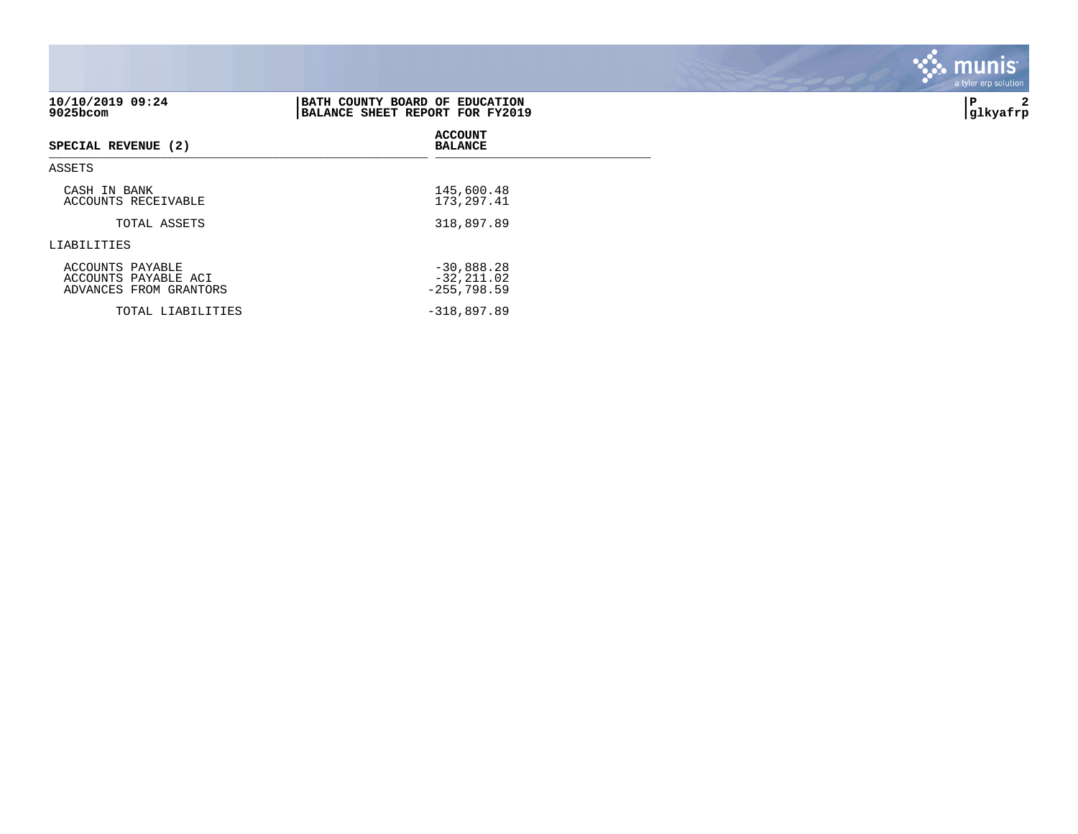| 10/10/2019 09:24<br>9025bcom                                       | BATH COUNTY BOARD OF EDUCATION<br>BALANCE SHEET REPORT FOR FY2019 | 2<br>l P<br> glkyafrp |
|--------------------------------------------------------------------|-------------------------------------------------------------------|-----------------------|
| SPECIAL REVENUE (2)                                                | <b>ACCOUNT</b><br><b>BALANCE</b>                                  |                       |
| ASSETS                                                             |                                                                   |                       |
| CASH IN BANK<br>ACCOUNTS RECEIVABLE                                | 145,600.48<br>173, 297.41                                         |                       |
| TOTAL ASSETS                                                       | 318,897.89                                                        |                       |
| LIABILITIES                                                        |                                                                   |                       |
| ACCOUNTS PAYABLE<br>ACCOUNTS PAYABLE ACI<br>ADVANCES FROM GRANTORS | $-30,888.28$<br>$-32, 211.02$<br>$-255,798.59$                    |                       |
| TOTAL LIABILITIES                                                  | $-318,897.89$                                                     |                       |

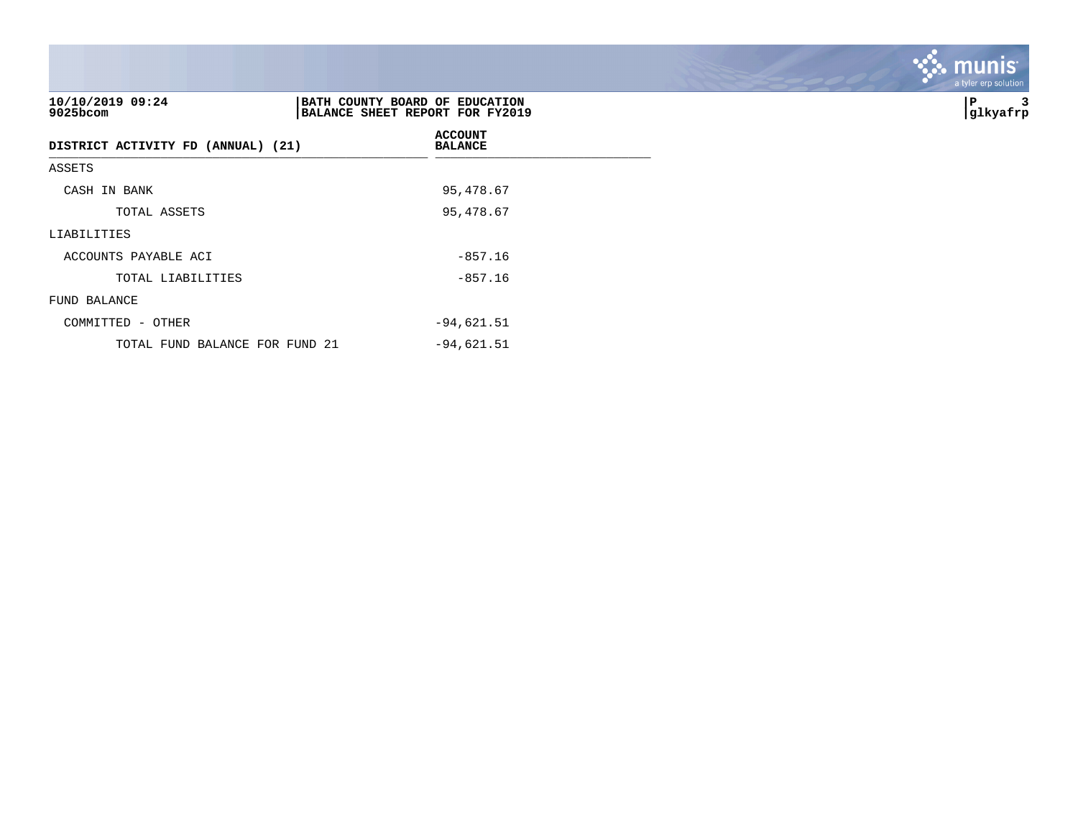| 10/10/2019 09:24<br>$9025$ bcom    | BATH COUNTY BOARD OF EDUCATION<br>BALANCE SHEET REPORT FOR FY2019 | 3<br>∣P<br> glkyafrp |
|------------------------------------|-------------------------------------------------------------------|----------------------|
| DISTRICT ACTIVITY FD (ANNUAL) (21) | <b>ACCOUNT</b><br><b>BALANCE</b>                                  |                      |
| ASSETS                             |                                                                   |                      |
| CASH IN BANK                       | 95,478.67                                                         |                      |
| TOTAL ASSETS                       | 95,478.67                                                         |                      |
| LIABILITIES                        |                                                                   |                      |
| ACCOUNTS PAYABLE ACI               | $-857.16$                                                         |                      |
| TOTAL LIABILITIES                  | $-857.16$                                                         |                      |
| FUND BALANCE                       |                                                                   |                      |
| COMMITTED - OTHER                  | $-94,621.51$                                                      |                      |
| TOTAL FUND BALANCE FOR FUND 21     | $-94,621.51$                                                      |                      |

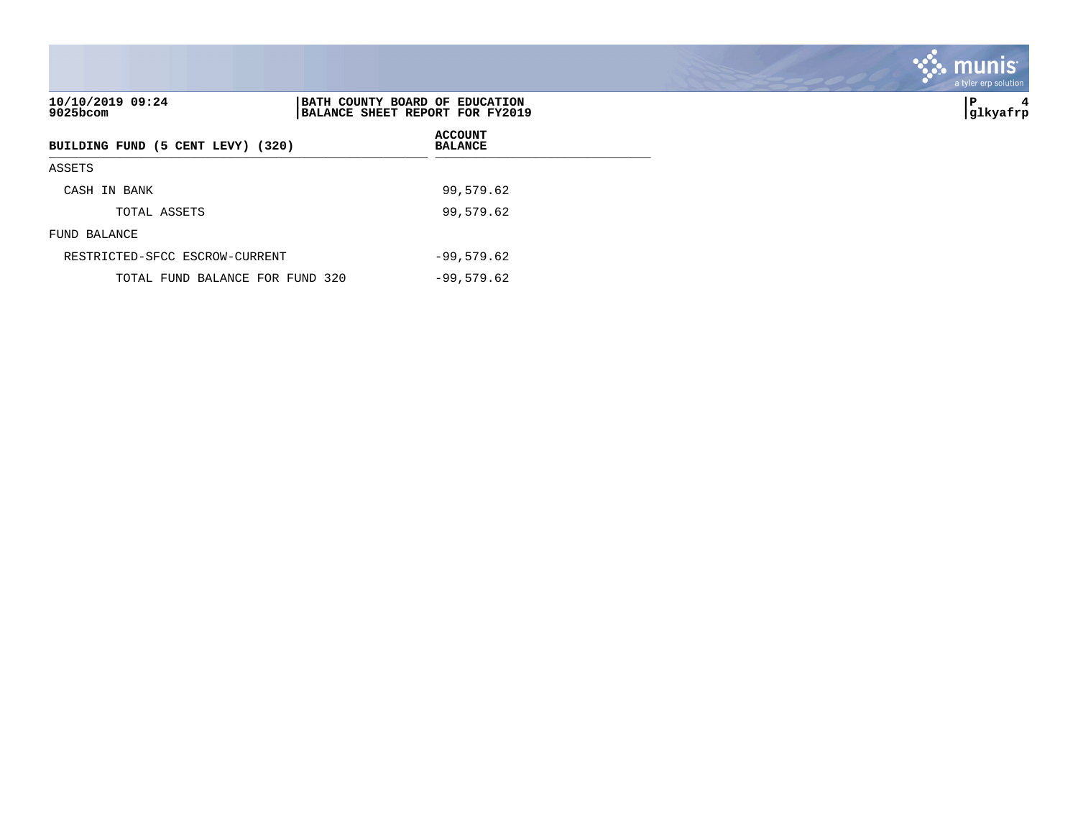| 10/10/2019 09:24<br>9025bcom      | BATH COUNTY BOARD OF EDUCATION<br>BALANCE SHEET REPORT FOR FY2019 | lΡ<br>4<br> glkyafrp |
|-----------------------------------|-------------------------------------------------------------------|----------------------|
| BUILDING FUND (5 CENT LEVY) (320) | <b>ACCOUNT</b><br><b>BALANCE</b>                                  |                      |
| ASSETS                            |                                                                   |                      |
| CASH IN BANK                      | 99,579.62                                                         |                      |
| TOTAL ASSETS                      | 99,579.62                                                         |                      |
| FUND BALANCE                      |                                                                   |                      |
| RESTRICTED-SFCC ESCROW-CURRENT    | $-99,579.62$                                                      |                      |
| TOTAL FUND BALANCE FOR FUND 320   | $-99,579.62$                                                      |                      |

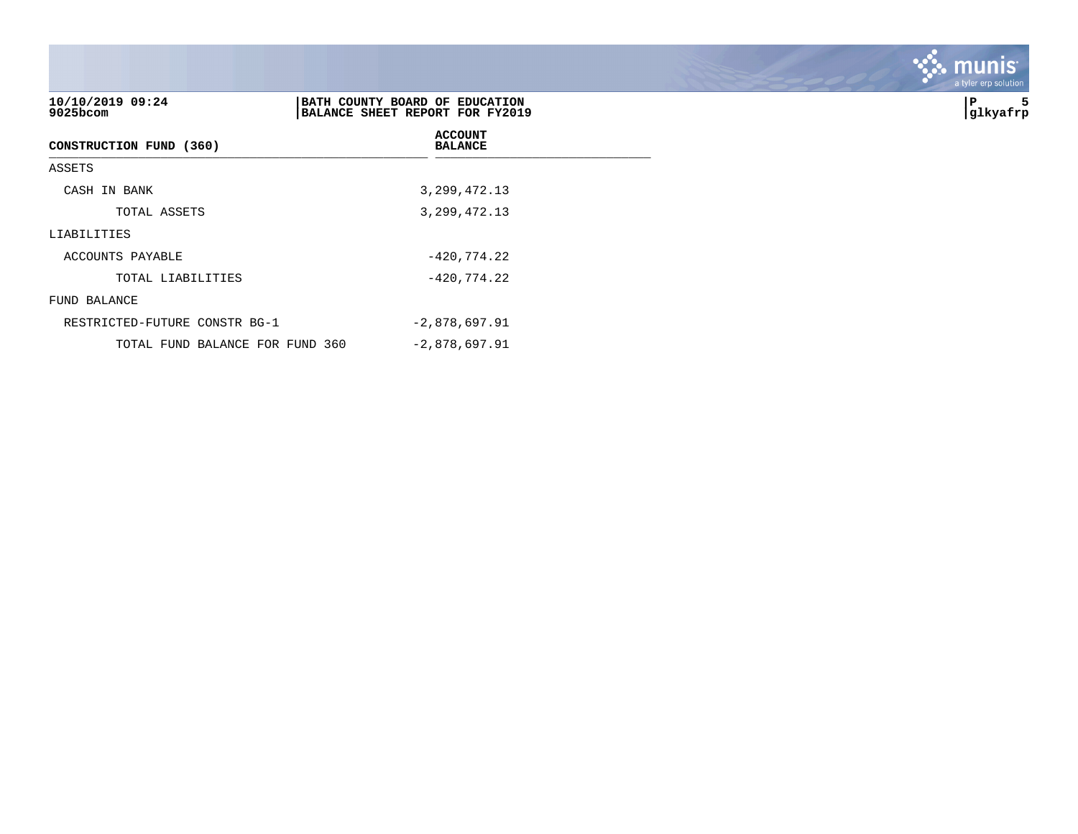| 10/10/2019 09:24<br>9025bcom  | BATH COUNTY BOARD OF EDUCATION<br>BALANCE SHEET REPORT FOR FY2019 | 5<br>  P<br> glkyafrp |
|-------------------------------|-------------------------------------------------------------------|-----------------------|
| CONSTRUCTION FUND (360)       | <b>ACCOUNT</b><br><b>BALANCE</b>                                  |                       |
| ASSETS                        |                                                                   |                       |
| CASH IN BANK                  | 3, 299, 472.13                                                    |                       |
| TOTAL ASSETS                  | 3, 299, 472.13                                                    |                       |
| LIABILITIES                   |                                                                   |                       |
| ACCOUNTS PAYABLE              | $-420, 774.22$                                                    |                       |
| TOTAL LIABILITIES             | $-420,774.22$                                                     |                       |
| FUND BALANCE                  |                                                                   |                       |
| RESTRICTED-FUTURE CONSTR BG-1 | $-2,878,697.91$                                                   |                       |

TOTAL FUND BALANCE FOR FUND 360 -2,878,697.91

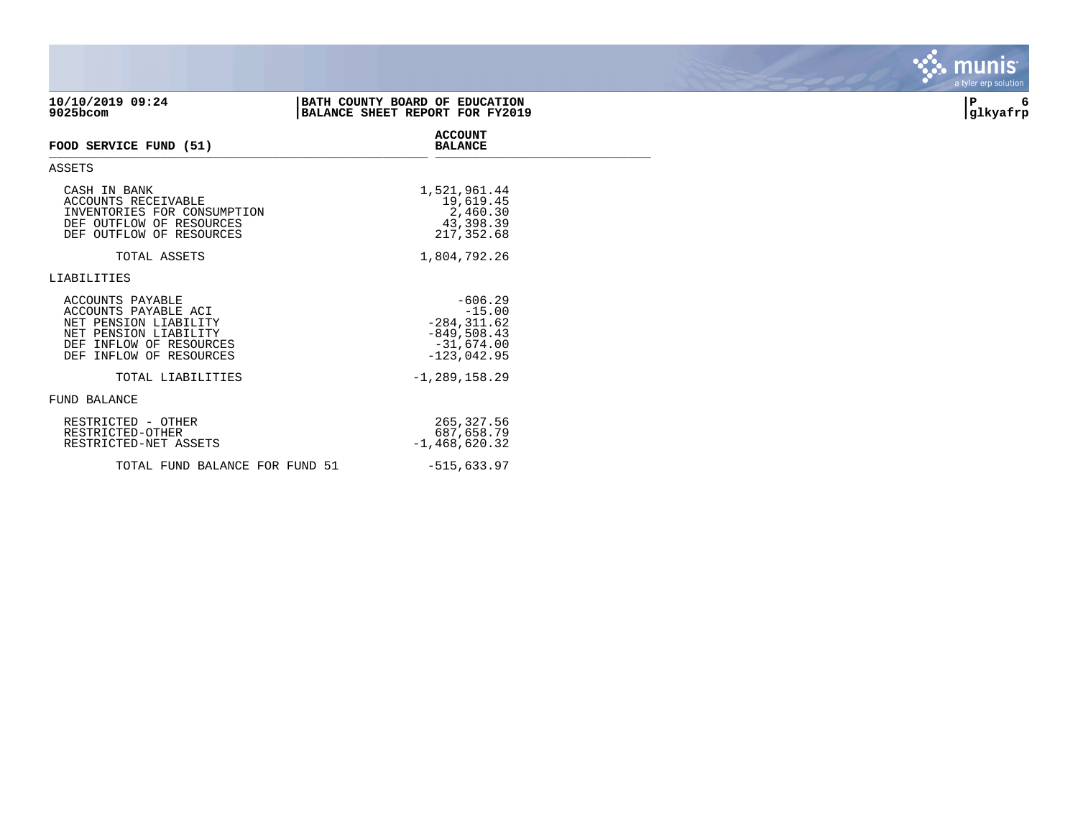| 10/10/2019 09:24<br>9025bcom                                                                                                                        | BATH COUNTY BOARD OF EDUCATION<br>BALANCE SHEET REPORT FOR FY2019                         | 6<br>P<br> glkyafrp |
|-----------------------------------------------------------------------------------------------------------------------------------------------------|-------------------------------------------------------------------------------------------|---------------------|
| FOOD SERVICE FUND (51)                                                                                                                              | <b>ACCOUNT</b><br><b>BALANCE</b>                                                          |                     |
| <b>ASSETS</b>                                                                                                                                       |                                                                                           |                     |
| CASH IN BANK<br>ACCOUNTS RECEIVABLE<br>INVENTORIES FOR CONSUMPTION<br>DEF OUTFLOW OF RESOURCES<br>DEF OUTFLOW OF RESOURCES                          | 1,521,961.44<br>19,619.45<br>2,460.30<br>43,398.39<br>217,352.68                          |                     |
| TOTAL ASSETS                                                                                                                                        | 1,804,792.26                                                                              |                     |
| LIABILITIES                                                                                                                                         |                                                                                           |                     |
| ACCOUNTS PAYABLE<br>ACCOUNTS PAYABLE ACI<br>NET PENSION LIABILITY<br>NET PENSION LIABILITY<br>DEF INFLOW OF RESOURCES<br>INFLOW OF RESOURCES<br>DEF | $-606.29$<br>$-15.00$<br>$-284, 311.62$<br>$-849,508.43$<br>$-31,674.00$<br>$-123,042.95$ |                     |
| TOTAL LIABILITIES                                                                                                                                   | $-1, 289, 158.29$                                                                         |                     |
| FUND BALANCE                                                                                                                                        |                                                                                           |                     |
| RESTRICTED - OTHER<br>RESTRICTED-OTHER<br>RESTRICTED-NET ASSETS                                                                                     | 265,327.56<br>687,658.79<br>$-1,468,620.32$                                               |                     |
| TOTAL FUND BALANCE FOR FUND 51                                                                                                                      | $-515,633.97$                                                                             |                     |

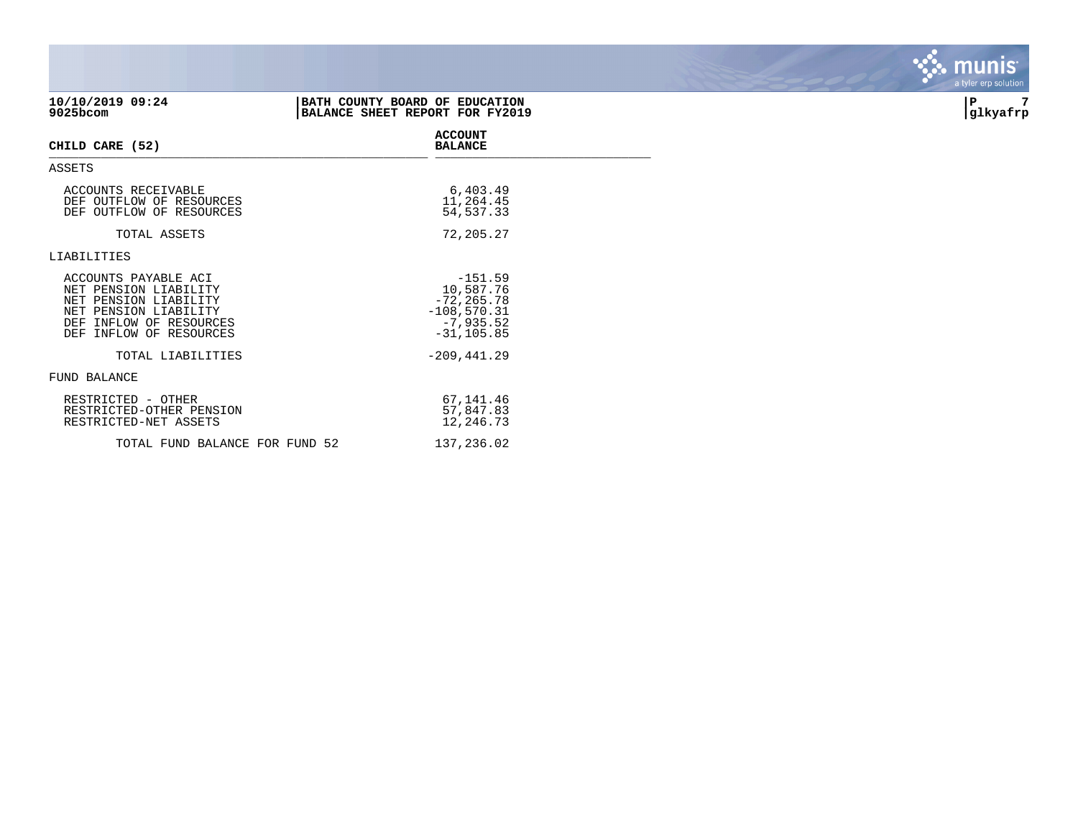| 10/10/2019 09:24<br>9025bcom                                                                                                                                | BATH COUNTY BOARD OF EDUCATION<br>BALANCE SHEET REPORT FOR FY2019                        | 7<br>P<br>glkyafrp |
|-------------------------------------------------------------------------------------------------------------------------------------------------------------|------------------------------------------------------------------------------------------|--------------------|
| CHILD CARE (52)                                                                                                                                             | <b>ACCOUNT</b><br><b>BALANCE</b>                                                         |                    |
| ASSETS                                                                                                                                                      |                                                                                          |                    |
| ACCOUNTS RECEIVABLE<br>DEF OUTFLOW OF RESOURCES<br>DEF OUTFLOW OF RESOURCES                                                                                 | 6,403.49<br>11,264.45<br>54, 537.33                                                      |                    |
| TOTAL ASSETS                                                                                                                                                | 72,205.27                                                                                |                    |
| LIABILITIES                                                                                                                                                 |                                                                                          |                    |
| ACCOUNTS PAYABLE ACI<br>NET PENSION LIABILITY<br>NET PENSION LIABILITY<br>NET PENSION LIABILITY<br>INFLOW OF RESOURCES<br>DEF<br>INFLOW OF RESOURCES<br>DEF | $-151.59$<br>10,587.76<br>$-72, 265.78$<br>$-108,570.31$<br>$-7,935.52$<br>$-31, 105.85$ |                    |
| TOTAL LIABILITIES                                                                                                                                           | $-209, 441.29$                                                                           |                    |
| <b>FUND BALANCE</b>                                                                                                                                         |                                                                                          |                    |
| RESTRICTED - OTHER<br>RESTRICTED-OTHER PENSION<br>RESTRICTED-NET ASSETS                                                                                     | 67,141.46<br>57,847.83<br>12,246.73                                                      |                    |
| TOTAL FUND BALANCE FOR FUND 52                                                                                                                              | 137,236.02                                                                               |                    |

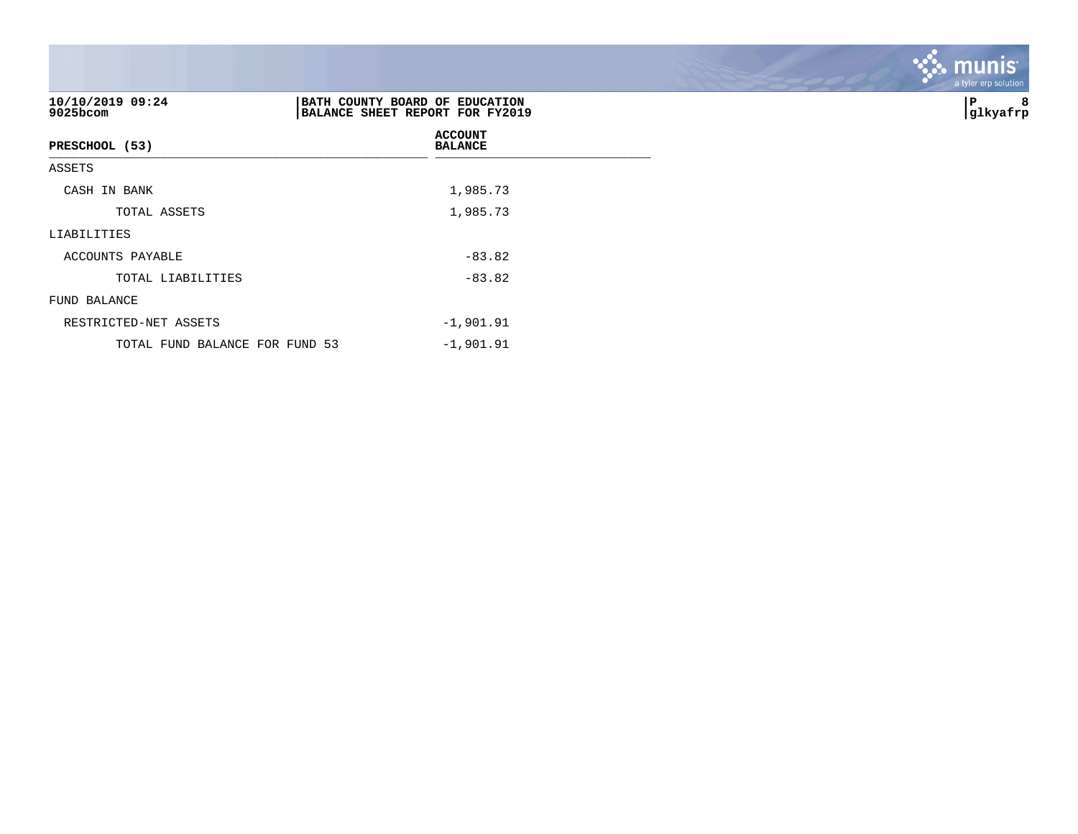| 10/10/2019 09:24<br>9025bcom   | BATH COUNTY BOARD OF EDUCATION<br>BALANCE SHEET REPORT FOR FY2019 | 8<br>P<br> glkyafrp |
|--------------------------------|-------------------------------------------------------------------|---------------------|
| PRESCHOOL (53)                 | <b>ACCOUNT</b><br><b>BALANCE</b>                                  |                     |
| ASSETS                         |                                                                   |                     |
| CASH IN BANK                   | 1,985.73                                                          |                     |
| TOTAL ASSETS                   | 1,985.73                                                          |                     |
| LIABILITIES                    |                                                                   |                     |
| ACCOUNTS PAYABLE               | $-83.82$                                                          |                     |
| TOTAL LIABILITIES              | $-83.82$                                                          |                     |
| FUND BALANCE                   |                                                                   |                     |
| RESTRICTED-NET ASSETS          | $-1,901.91$                                                       |                     |
| TOTAL FUND BALANCE FOR FUND 53 | $-1,901.91$                                                       |                     |

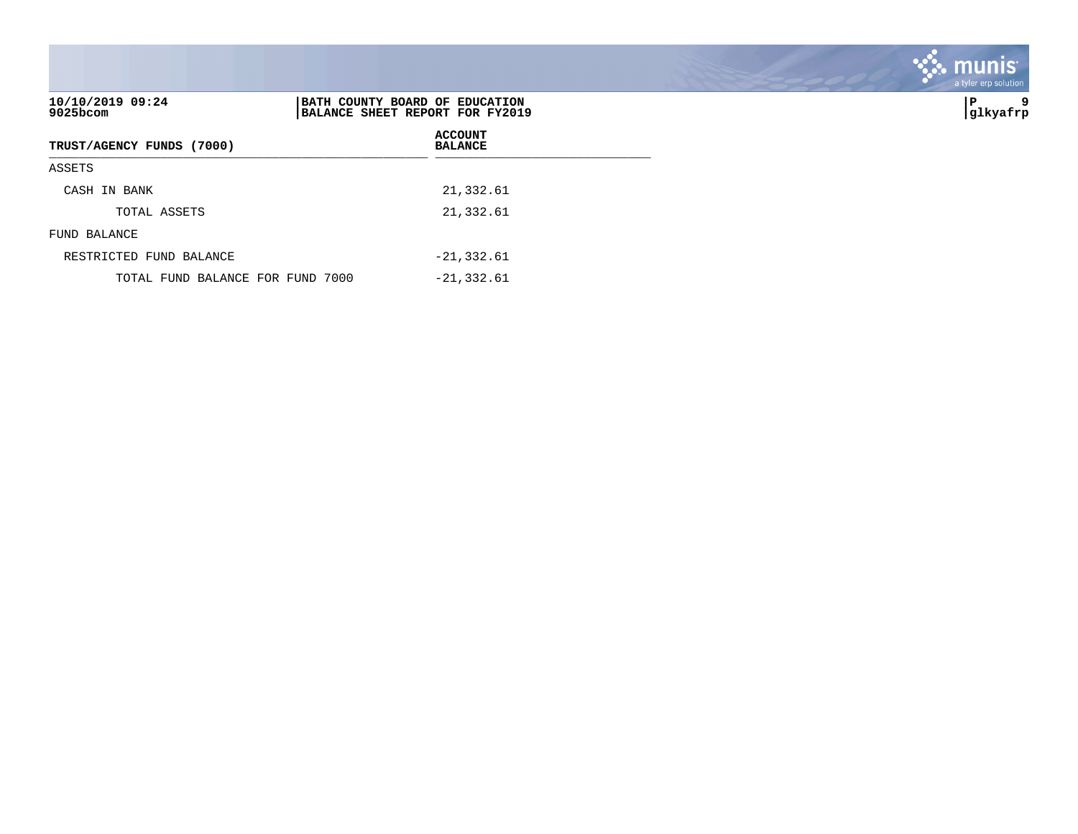| 10/10/2019 09:24<br>$9025$ bcom  | BATH COUNTY BOARD OF EDUCATION<br>BALANCE SHEET REPORT FOR FY2019 | 9<br>∣P<br> glkyafrp |
|----------------------------------|-------------------------------------------------------------------|----------------------|
| TRUST/AGENCY FUNDS (7000)        | <b>ACCOUNT</b><br><b>BALANCE</b>                                  |                      |
| ASSETS                           |                                                                   |                      |
| CASH IN BANK                     | 21,332.61                                                         |                      |
| TOTAL ASSETS                     | 21,332.61                                                         |                      |
| FUND BALANCE                     |                                                                   |                      |
| RESTRICTED FUND BALANCE          | $-21, 332.61$                                                     |                      |
| TOTAL FUND BALANCE FOR FUND 7000 | $-21, 332.61$                                                     |                      |

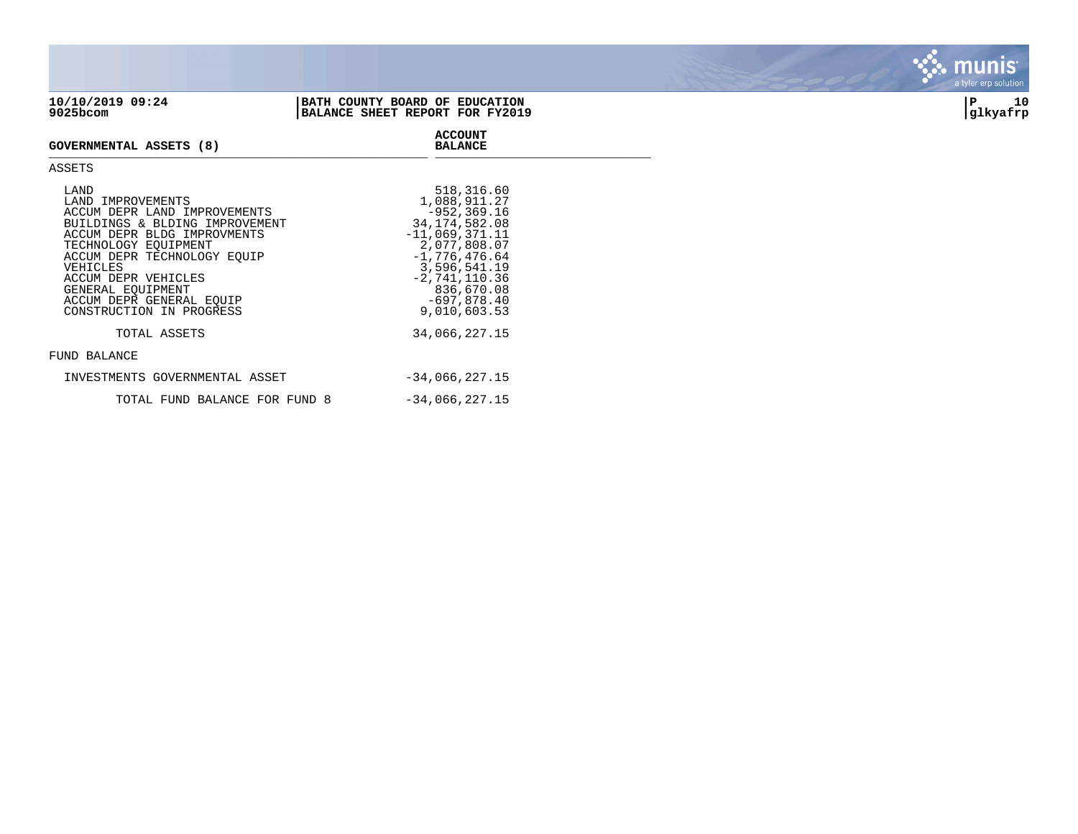| 10/10/2019 09:24<br>9025bcom | BATH COUNTY BOARD OF EDUCATION<br>BALANCE SHEET REPORT FOR FY2019 | glkyafrp | 10 |
|------------------------------|-------------------------------------------------------------------|----------|----|
|                              |                                                                   |          |    |

**ACCOUNT**

## **GOVERNMENTAL ASSETS (8) BALANCE** \_\_\_\_\_\_\_\_\_\_\_\_\_\_\_\_\_\_\_\_\_\_\_\_\_\_\_\_\_\_\_\_\_\_\_\_\_\_\_\_\_\_\_\_\_\_\_\_\_\_\_ \_\_\_\_\_\_\_\_\_\_\_\_\_\_\_\_\_\_\_\_\_\_\_\_\_\_\_\_\_

## ASSETS

| LAND<br>LAND IMPROVEMENTS<br>ACCUM DEPR LAND IMPROVEMENTS<br>BUILDINGS & BLDING IMPROVEMENT<br>ACCUM DEPR BLDG IMPROVMENTS<br>TECHNOLOGY EOUIPMENT<br>ACCUM DEPR TECHNOLOGY EOUIP<br>VEHICLES<br>ACCUM DEPR VEHICLES<br>GENERAL EOUIPMENT<br>ACCUM DEPR GENERAL EOUIP<br>CONSTRUCTION IN PROGRESS | 518,316.60<br>1,088,911.27<br>$-952.369.16$<br>34, 174, 582, 08<br>$-11,069,371.11$<br>2,077,808.07<br>$-1,776,476.64$<br>3,596,541.19<br>$-2,741,110.36$<br>836,670.08<br>$-697,878.40$<br>9,010,603.53 |
|---------------------------------------------------------------------------------------------------------------------------------------------------------------------------------------------------------------------------------------------------------------------------------------------------|----------------------------------------------------------------------------------------------------------------------------------------------------------------------------------------------------------|
| TOTAL ASSETS                                                                                                                                                                                                                                                                                      | 34,066,227.15                                                                                                                                                                                            |
| FUND BALANCE                                                                                                                                                                                                                                                                                      |                                                                                                                                                                                                          |
| INVESTMENTS GOVERNMENTAL ASSET                                                                                                                                                                                                                                                                    | $-34,066,227.15$                                                                                                                                                                                         |
| TOTAL FUND BALANCE FOR FUND 8                                                                                                                                                                                                                                                                     | $-34,066,227.15$                                                                                                                                                                                         |

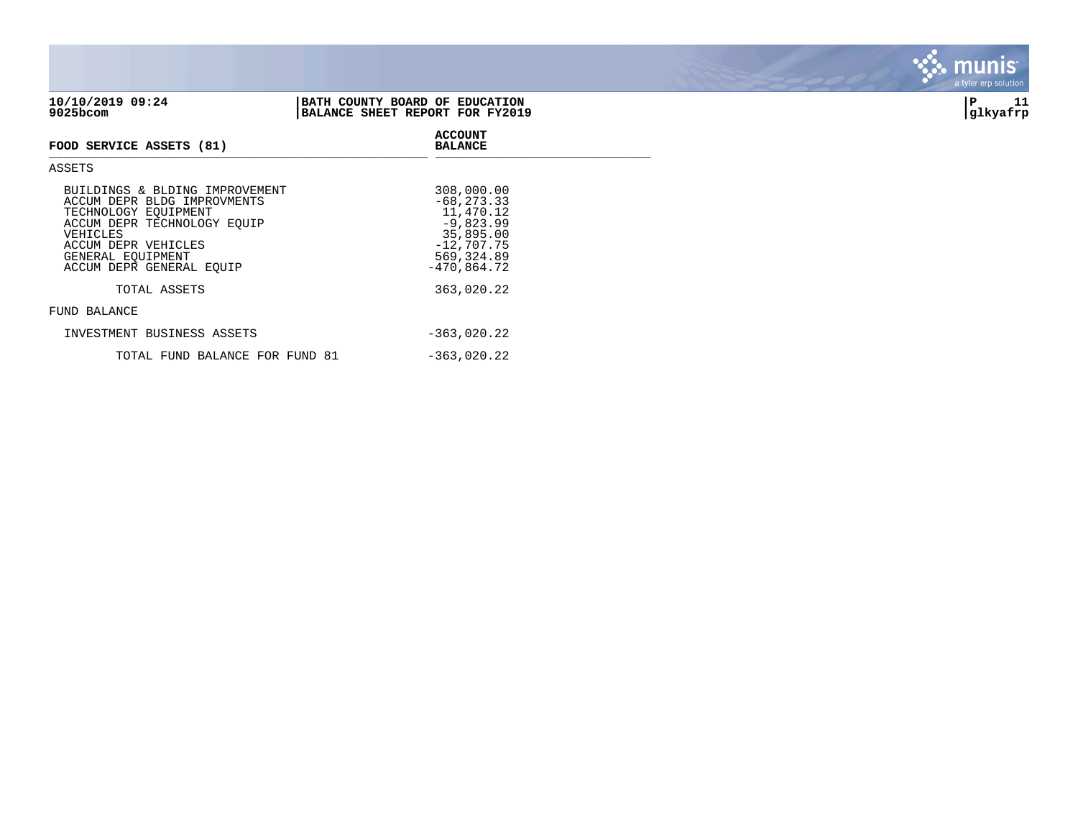| 9025bcom                                                                                                                                                                                                 | BALANCE SHEET REPORT FOR FY2019                                                                                      | glkyafrp |
|----------------------------------------------------------------------------------------------------------------------------------------------------------------------------------------------------------|----------------------------------------------------------------------------------------------------------------------|----------|
| FOOD SERVICE ASSETS (81)                                                                                                                                                                                 | <b>ACCOUNT</b><br><b>BALANCE</b>                                                                                     |          |
| ASSETS                                                                                                                                                                                                   |                                                                                                                      |          |
| BUILDINGS & BLDING IMPROVEMENT<br>ACCUM DEPR BLDG IMPROVMENTS<br>TECHNOLOGY EQUIPMENT<br>ACCUM DEPR TECHNOLOGY EQUIP<br>VEHICLES<br>ACCUM DEPR VEHICLES<br>GENERAL EQUIPMENT<br>ACCUM DEPR GENERAL EQUIP | 308,000.00<br>$-68, 273.33$<br>11,470.12<br>$-9,823.99$<br>35,895.00<br>$-12,707.75$<br>569, 324.89<br>$-470,864.72$ |          |

TOTAL ASSETS 363,020.22

TOTAL FUND BALANCE FOR FUND 81 -363,020.22

INVESTMENT BUSINESS ASSETS  $-363,020.22$ 

| 10/10/2019 09:24 | BATH COUNTY BOARD OF EDUCATION  |          |  |
|------------------|---------------------------------|----------|--|
| 9025bcom         | BALANCE SHEET REPORT FOR FY2019 | glkyafrp |  |

FUND BALANCE

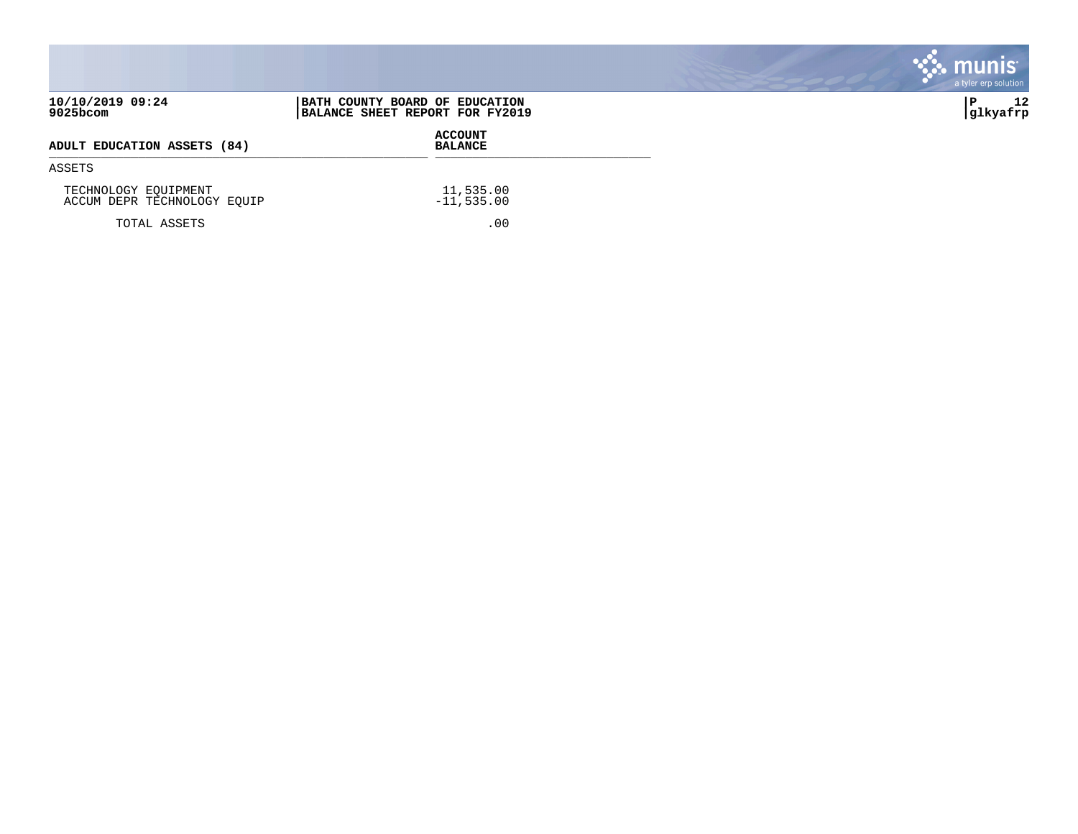|                                                     |                                                                   | $\mathbf{\ddot{\cdot}}$ . munis<br>a tyler erp solution |
|-----------------------------------------------------|-------------------------------------------------------------------|---------------------------------------------------------|
| 10/10/2019 09:24<br>$9025$ bcom                     | BATH COUNTY BOARD OF EDUCATION<br>BALANCE SHEET REPORT FOR FY2019 | 12<br> glkyafrp                                         |
| ADULT EDUCATION ASSETS (84)                         | <b>ACCOUNT</b><br><b>BALANCE</b>                                  |                                                         |
| ASSETS                                              |                                                                   |                                                         |
| TECHNOLOGY EQUIPMENT<br>ACCUM DEPR TECHNOLOGY EQUIP | 11,535.00<br>$-11,535.00$                                         |                                                         |
| TOTAL ASSETS                                        | .00                                                               |                                                         |

**COL** 

**Contract Contract Contract**